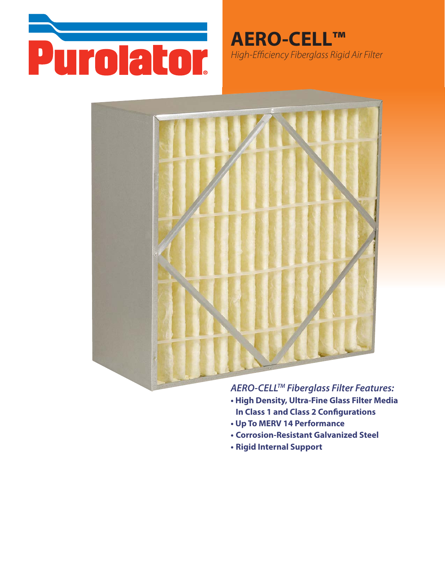

**AERO-CELL™** High-Efficiency Fiberglass Rigid Air Filter



AERO-CELL™ Fiberglass Filter Features:

- . High Density, Ultra-Fine Glass Filter Media **In Class 1 and Class 2 Configurations**
- Up To MERV 14 Performance
- **. Corrosion-Resistant Galvanized Steel**
- Rigid Internal Support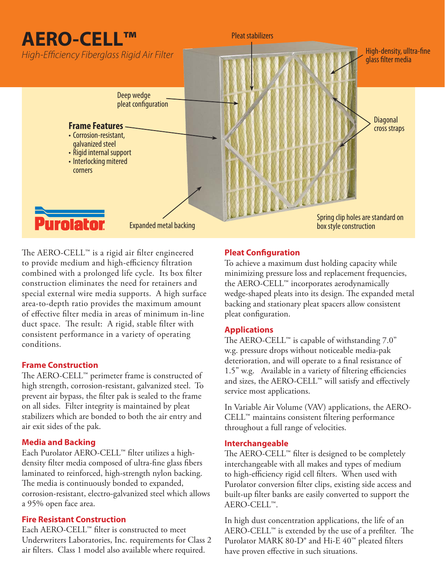# **AERO-CELL™**

**Anglied Autor**<br>High-Efficiency Fiberglass Rigid Air Filter



Pleat stabilizers

The AERO-CELL™ is a rigid air filter engineered to provide medium and high-efficiency filtration combined with a prolonged life cycle. Its box filter construction eliminates the need for retainers and special external wire media supports. A high surface area-to-depth ratio provides the maximum amount of effective filter media in areas of minimum in-line duct space. The result: A rigid, stable filter with consistent performance in a variety of operating conditions.

### **Frame Construction**

**Frame Construction** The AERO-CELL™ perimeter frame is constructed of high strength, corrosion-resistant, galvanized steel. To prevent air bypass, the filter pak is sealed to the frame on all sides. Filter integrity is maintained by pleat stabilizers which are bonded to both the air entry and air exit sides of the pak.

### **Media and Backing**

Each Purolator AERO-CELL™ filter utilizes a highdensity filter media composed of ultra-fine glass fibers laminated to reinforced, high-strength nylon backing. The media is continuously bonded to expanded, corrosion-resistant, electro-galvanized steel which allows a 95% open face area.

Each AERO-CELL<sup>™</sup> filter is constructed to meet Underwriters Laboratories, Inc. requirements for Class 2 air filters. Class 1 model also available where required.

### **Pleat Configuration**

To achieve a maximum dust holding capacity while minimizing pressure loss and replacement frequencies, the AERO-CELL™ incorporates aerodynamically wedge-shaped pleats into its design. The expanded metal backing and stationary pleat spacers allow consistent pleat configuration.

High-density, ulltra-fine

The AERO-CELL™ is capable of withstanding 7.0" w.g. pressure drops without noticeable media-pak deterioration, and will operate to a final resistance of 1.5" w.g. Available in a variety of filtering efficiencies and sizes, the AERO-CELL™ will satisfy and effectively service most applications.

In Variable Air Volume (VAV) applications, the AERO-CELL™ maintains consistent filtering performance throughout a full range of velocities.

### **Interchangeable**

The AERO-CELL™ filter is designed to be completely interchangeable with all makes and types of medium to high-efficiency rigid cell filters. When used with Purolator conversion filter clips, existing side access and built-up filter banks are easily converted to support the AERO-CELL™.

In high dust concentration applications, the life of an AERO-CELL™ is extended by the use of a prefilter. The Purolator MARK 80-D<sup>®</sup> and Hi-E 40<sup>™</sup> pleated filters have proven effective in such situations.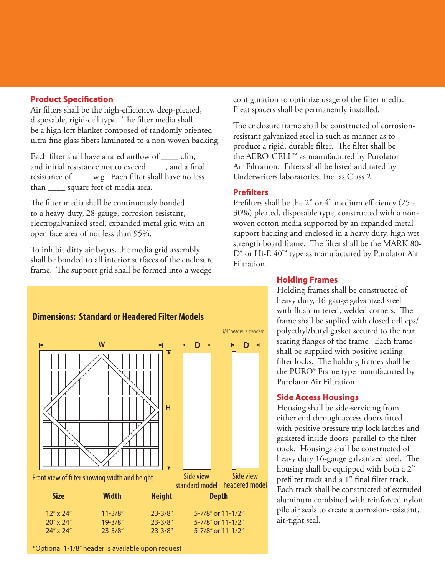### **Product Specification**

Air filters shall be the high-efficiency, deep-pleated, disposable, rigid-cell type. The filter media shall be a high loft blanket composed of randomly oriented ultra-fine glass fibers laminated to a non-woven backing.

Each filter shall have a rated airflow of cfm, and initial resistance not to exceed \_\_\_\_, and a final resistance of \_\_\_\_ w.g. Each filter shall have no less than \_\_\_\_ square feet of media area.

The filter media shall be continuously bonded to a heavy-duty, 28-gauge, corrosion-resistant, electrogalvanized steel, expanded metal grid with an open face area of not less than 95%.

To inhibit dirty air bypas, the media grid assembly shall be bonded to all interior surfaces of the enclosure frame. The support grid shall be formed into a wedge

configuration to optimize usage of the filter media. Pleat spacers shall be permanently installed.

The enclosure frame shall be constructed of corrosionresistant galvanized steel in such as manner as to produce a rigid, durable filter. The filter shall be the AERO-CELL™ as manufactured by Purolator Air Filtration. Filters shall be listed and rated by Underwriters laboratories, Inc. as Class 2.

### **Prefilters**

Prefilters shall be the 2" or 4" medium efficiency (25 - 30%) pleated, disposable type, constructed with a nonwoven cotton media supported by an expanded metal support backing and enclosed in a heavy duty, high wet strength board frame. The filter shall be the MARK 80- D<sup>®</sup> or Hi-E 40<sup>™</sup> type as manufactured by Purolator Air Filtration.



#### **Holding Frames**

Holding frames shall be constructed of heavy duty, 16-gauge galvanized steel with flush-mitered, welded corners. The frame shall be suplied with closed cell eps/ polyethyl/butyl gasket secured to the rear seating flanges of the frame. Each frame shall be supplied with positive sealing filter locks. The holding frames shall be the PURO® Frame type manufactured by Purolator Air Filtration.

#### **Side Access Housings**

Housing shall be side-servicing from either end through access doors fitted with positive pressure trip lock latches and gasketed inside doors, parallel to the filter track. Housings shall be constructed of heavy duty 16-gauge galvanized steel. The housing shall be equipped with both a 2" prefilter track and a 1" final filter track. Each track shall be constructed of extruded aluminum combined with reinforced nylon pile air seals to create a corrosion-resistant, air-tight seal.

\*Optional 1-1/8" header is available upon request